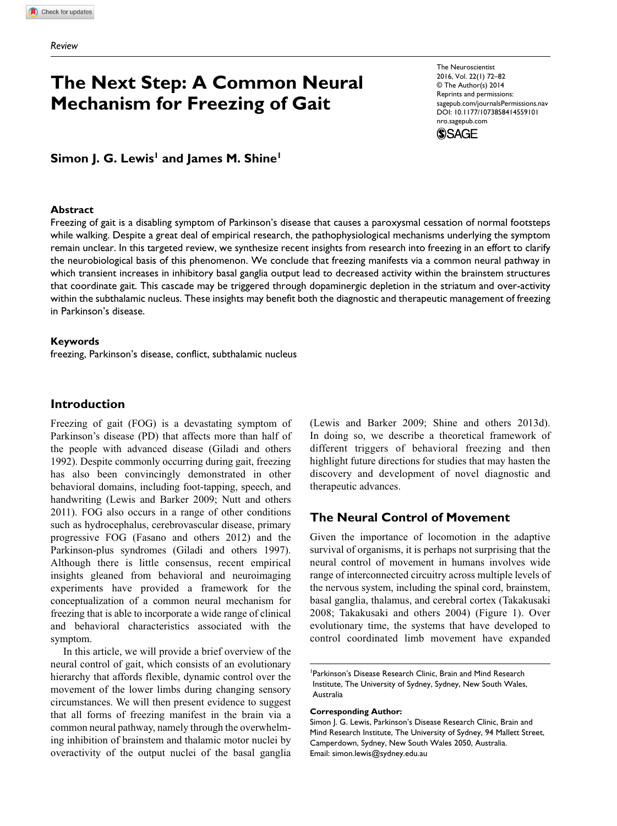# **The Next Step: A Common Neural Mechanism for Freezing of Gait**

# **Simon J. G. Lewis<sup>1</sup> and James M. Shine<sup>1</sup>**

#### **Abstract**

Freezing of gait is a disabling symptom of Parkinson's disease that causes a paroxysmal cessation of normal footsteps while walking. Despite a great deal of empirical research, the pathophysiological mechanisms underlying the symptom remain unclear. In this targeted review, we synthesize recent insights from research into freezing in an effort to clarify the neurobiological basis of this phenomenon. We conclude that freezing manifests via a common neural pathway in which transient increases in inhibitory basal ganglia output lead to decreased activity within the brainstem structures that coordinate gait. This cascade may be triggered through dopaminergic depletion in the striatum and over-activity within the subthalamic nucleus. These insights may benefit both the diagnostic and therapeutic management of freezing in Parkinson's disease.

#### **Keywords**

freezing, Parkinson's disease, conflict, subthalamic nucleus

# **Introduction**

Freezing of gait (FOG) is a devastating symptom of Parkinson's disease (PD) that affects more than half of the people with advanced disease (Giladi and others 1992). Despite commonly occurring during gait, freezing has also been convincingly demonstrated in other behavioral domains, including foot-tapping, speech, and handwriting (Lewis and Barker 2009; Nutt and others 2011). FOG also occurs in a range of other conditions such as hydrocephalus, cerebrovascular disease, primary progressive FOG (Fasano and others 2012) and the Parkinson-plus syndromes (Giladi and others 1997). Although there is little consensus, recent empirical insights gleaned from behavioral and neuroimaging experiments have provided a framework for the conceptualization of a common neural mechanism for freezing that is able to incorporate a wide range of clinical and behavioral characteristics associated with the symptom.

In this article, we will provide a brief overview of the neural control of gait, which consists of an evolutionary hierarchy that affords flexible, dynamic control over the movement of the lower limbs during changing sensory circumstances. We will then present evidence to suggest that all forms of freezing manifest in the brain via a common neural pathway, namely through the overwhelming inhibition of brainstem and thalamic motor nuclei by overactivity of the output nuclei of the basal ganglia (Lewis and Barker 2009; Shine and others 2013d). In doing so, we describe a theoretical framework of different triggers of behavioral freezing and then highlight future directions for studies that may hasten the discovery and development of novel diagnostic and therapeutic advances.

#### **The Neural Control of Movement**

Given the importance of locomotion in the adaptive survival of organisms, it is perhaps not surprising that the neural control of movement in humans involves wide range of interconnected circuitry across multiple levels of the nervous system, including the spinal cord, brainstem, basal ganglia, thalamus, and cerebral cortex (Takakusaki 2008; Takakusaki and others 2004) (Figure 1). Over evolutionary time, the systems that have developed to control coordinated limb movement have expanded

#### **Corresponding Author:**

The Neuroscientist 2016, Vol. 22(1) 72–82 © The Author(s) 2014 Reprints and permissions: sagepub.com/journalsPermissions.nav DOI: 10.1177/1073858414559101 nro.sagepub.com



<sup>1</sup> Parkinson's Disease Research Clinic, Brain and Mind Research Institute, The University of Sydney, Sydney, New South Wales, Australia

Simon J. G. Lewis, Parkinson's Disease Research Clinic, Brain and Mind Research Institute, The University of Sydney, 94 Mallett Street, Camperdown, Sydney, New South Wales 2050, Australia. Email: simon.lewis@sydney.edu.au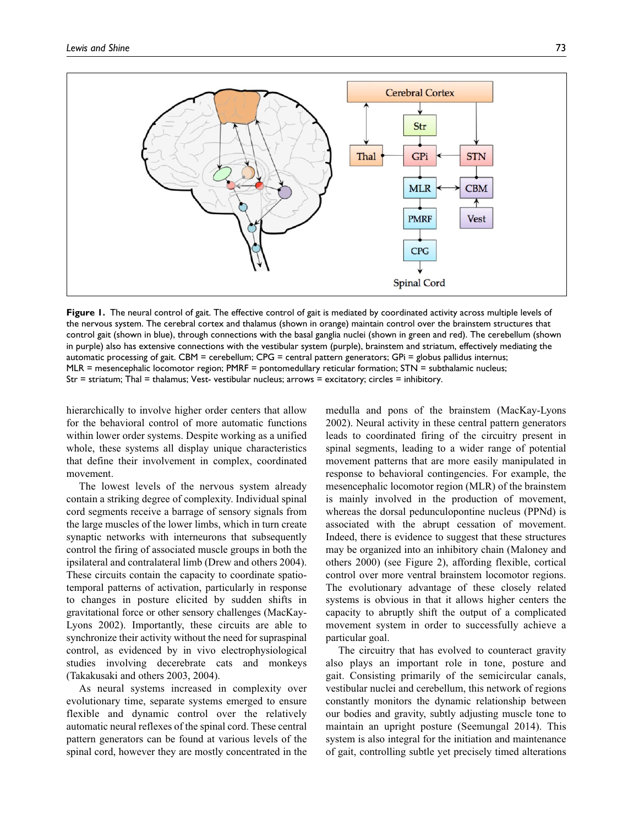

Figure 1. The neural control of gait. The effective control of gait is mediated by coordinated activity across multiple levels of the nervous system. The cerebral cortex and thalamus (shown in orange) maintain control over the brainstem structures that control gait (shown in blue), through connections with the basal ganglia nuclei (shown in green and red). The cerebellum (shown in purple) also has extensive connections with the vestibular system (purple), brainstem and striatum, effectively mediating the automatic processing of gait. CBM = cerebellum; CPG = central pattern generators; GPi = globus pallidus internus;  $MLR$  = mesencephalic locomotor region; PMRF = pontomedullary reticular formation; STN = subthalamic nucleus; Str = striatum; Thal = thalamus; Vest- vestibular nucleus; arrows = excitatory; circles = inhibitory.

hierarchically to involve higher order centers that allow for the behavioral control of more automatic functions within lower order systems. Despite working as a unified whole, these systems all display unique characteristics that define their involvement in complex, coordinated movement.

The lowest levels of the nervous system already contain a striking degree of complexity. Individual spinal cord segments receive a barrage of sensory signals from the large muscles of the lower limbs, which in turn create synaptic networks with interneurons that subsequently control the firing of associated muscle groups in both the ipsilateral and contralateral limb (Drew and others 2004). These circuits contain the capacity to coordinate spatiotemporal patterns of activation, particularly in response to changes in posture elicited by sudden shifts in gravitational force or other sensory challenges (MacKay-Lyons 2002). Importantly, these circuits are able to synchronize their activity without the need for supraspinal control, as evidenced by in vivo electrophysiological studies involving decerebrate cats and monkeys (Takakusaki and others 2003, 2004).

As neural systems increased in complexity over evolutionary time, separate systems emerged to ensure flexible and dynamic control over the relatively automatic neural reflexes of the spinal cord. These central pattern generators can be found at various levels of the spinal cord, however they are mostly concentrated in the medulla and pons of the brainstem (MacKay-Lyons 2002). Neural activity in these central pattern generators leads to coordinated firing of the circuitry present in spinal segments, leading to a wider range of potential movement patterns that are more easily manipulated in response to behavioral contingencies. For example, the mesencephalic locomotor region (MLR) of the brainstem is mainly involved in the production of movement, whereas the dorsal pedunculopontine nucleus (PPNd) is associated with the abrupt cessation of movement. Indeed, there is evidence to suggest that these structures may be organized into an inhibitory chain (Maloney and others 2000) (see Figure 2), affording flexible, cortical control over more ventral brainstem locomotor regions. The evolutionary advantage of these closely related systems is obvious in that it allows higher centers the capacity to abruptly shift the output of a complicated movement system in order to successfully achieve a particular goal.

The circuitry that has evolved to counteract gravity also plays an important role in tone, posture and gait. Consisting primarily of the semicircular canals, vestibular nuclei and cerebellum, this network of regions constantly monitors the dynamic relationship between our bodies and gravity, subtly adjusting muscle tone to maintain an upright posture (Seemungal 2014). This system is also integral for the initiation and maintenance of gait, controlling subtle yet precisely timed alterations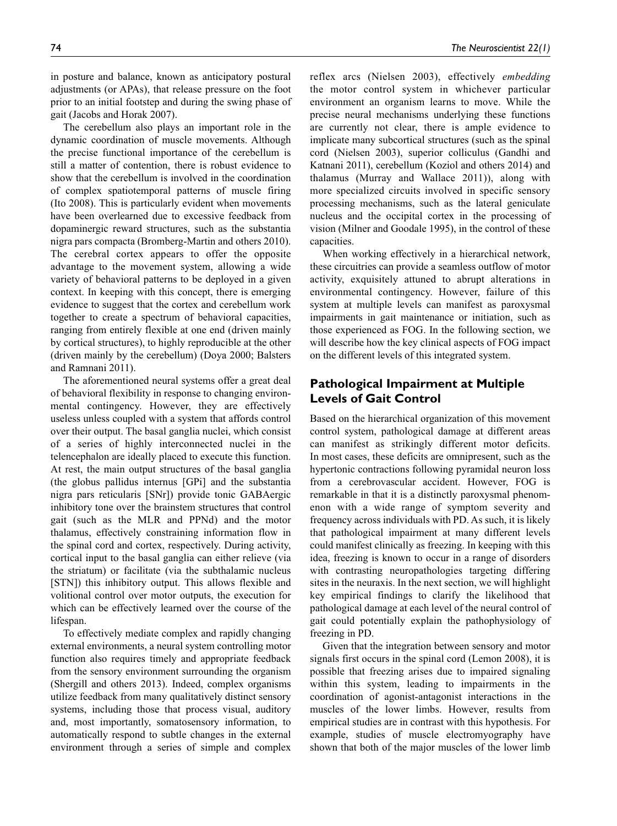in posture and balance, known as anticipatory postural adjustments (or APAs), that release pressure on the foot prior to an initial footstep and during the swing phase of gait (Jacobs and Horak 2007).

The cerebellum also plays an important role in the dynamic coordination of muscle movements. Although the precise functional importance of the cerebellum is still a matter of contention, there is robust evidence to show that the cerebellum is involved in the coordination of complex spatiotemporal patterns of muscle firing (Ito 2008). This is particularly evident when movements have been overlearned due to excessive feedback from dopaminergic reward structures, such as the substantia nigra pars compacta (Bromberg-Martin and others 2010). The cerebral cortex appears to offer the opposite advantage to the movement system, allowing a wide variety of behavioral patterns to be deployed in a given context. In keeping with this concept, there is emerging evidence to suggest that the cortex and cerebellum work together to create a spectrum of behavioral capacities, ranging from entirely flexible at one end (driven mainly by cortical structures), to highly reproducible at the other (driven mainly by the cerebellum) (Doya 2000; Balsters and Ramnani 2011).

The aforementioned neural systems offer a great deal of behavioral flexibility in response to changing environmental contingency. However, they are effectively useless unless coupled with a system that affords control over their output. The basal ganglia nuclei, which consist of a series of highly interconnected nuclei in the telencephalon are ideally placed to execute this function. At rest, the main output structures of the basal ganglia (the globus pallidus internus [GPi] and the substantia nigra pars reticularis [SNr]) provide tonic GABAergic inhibitory tone over the brainstem structures that control gait (such as the MLR and PPNd) and the motor thalamus, effectively constraining information flow in the spinal cord and cortex, respectively. During activity, cortical input to the basal ganglia can either relieve (via the striatum) or facilitate (via the subthalamic nucleus [STN]) this inhibitory output. This allows flexible and volitional control over motor outputs, the execution for which can be effectively learned over the course of the lifespan.

To effectively mediate complex and rapidly changing external environments, a neural system controlling motor function also requires timely and appropriate feedback from the sensory environment surrounding the organism (Shergill and others 2013). Indeed, complex organisms utilize feedback from many qualitatively distinct sensory systems, including those that process visual, auditory and, most importantly, somatosensory information, to automatically respond to subtle changes in the external environment through a series of simple and complex reflex arcs (Nielsen 2003), effectively *embedding* the motor control system in whichever particular environment an organism learns to move. While the precise neural mechanisms underlying these functions are currently not clear, there is ample evidence to implicate many subcortical structures (such as the spinal cord (Nielsen 2003), superior colliculus (Gandhi and Katnani 2011), cerebellum (Koziol and others 2014) and thalamus (Murray and Wallace 2011)), along with more specialized circuits involved in specific sensory processing mechanisms, such as the lateral geniculate nucleus and the occipital cortex in the processing of vision (Milner and Goodale 1995), in the control of these capacities.

When working effectively in a hierarchical network, these circuitries can provide a seamless outflow of motor activity, exquisitely attuned to abrupt alterations in environmental contingency. However, failure of this system at multiple levels can manifest as paroxysmal impairments in gait maintenance or initiation, such as those experienced as FOG. In the following section, we will describe how the key clinical aspects of FOG impact on the different levels of this integrated system.

# **Pathological Impairment at Multiple Levels of Gait Control**

Based on the hierarchical organization of this movement control system, pathological damage at different areas can manifest as strikingly different motor deficits. In most cases, these deficits are omnipresent, such as the hypertonic contractions following pyramidal neuron loss from a cerebrovascular accident. However, FOG is remarkable in that it is a distinctly paroxysmal phenomenon with a wide range of symptom severity and frequency across individuals with PD. As such, it is likely that pathological impairment at many different levels could manifest clinically as freezing. In keeping with this idea, freezing is known to occur in a range of disorders with contrasting neuropathologies targeting differing sites in the neuraxis. In the next section, we will highlight key empirical findings to clarify the likelihood that pathological damage at each level of the neural control of gait could potentially explain the pathophysiology of freezing in PD.

Given that the integration between sensory and motor signals first occurs in the spinal cord (Lemon 2008), it is possible that freezing arises due to impaired signaling within this system, leading to impairments in the coordination of agonist-antagonist interactions in the muscles of the lower limbs. However, results from empirical studies are in contrast with this hypothesis. For example, studies of muscle electromyography have shown that both of the major muscles of the lower limb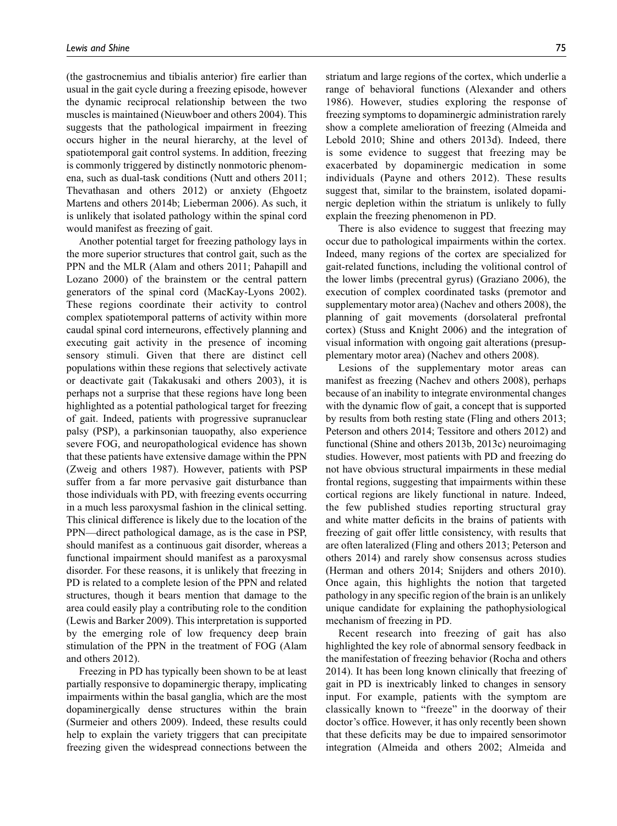(the gastrocnemius and tibialis anterior) fire earlier than usual in the gait cycle during a freezing episode, however the dynamic reciprocal relationship between the two muscles is maintained (Nieuwboer and others 2004). This suggests that the pathological impairment in freezing occurs higher in the neural hierarchy, at the level of spatiotemporal gait control systems. In addition, freezing is commonly triggered by distinctly nonmotoric phenomena, such as dual-task conditions (Nutt and others 2011; Thevathasan and others 2012) or anxiety (Ehgoetz Martens and others 2014b; Lieberman 2006). As such, it is unlikely that isolated pathology within the spinal cord would manifest as freezing of gait.

Another potential target for freezing pathology lays in the more superior structures that control gait, such as the PPN and the MLR (Alam and others 2011; Pahapill and Lozano 2000) of the brainstem or the central pattern generators of the spinal cord (MacKay-Lyons 2002). These regions coordinate their activity to control complex spatiotemporal patterns of activity within more caudal spinal cord interneurons, effectively planning and executing gait activity in the presence of incoming sensory stimuli. Given that there are distinct cell populations within these regions that selectively activate or deactivate gait (Takakusaki and others 2003), it is perhaps not a surprise that these regions have long been highlighted as a potential pathological target for freezing of gait. Indeed, patients with progressive supranuclear palsy (PSP), a parkinsonian tauopathy, also experience severe FOG, and neuropathological evidence has shown that these patients have extensive damage within the PPN (Zweig and others 1987). However, patients with PSP suffer from a far more pervasive gait disturbance than those individuals with PD, with freezing events occurring in a much less paroxysmal fashion in the clinical setting. This clinical difference is likely due to the location of the PPN—direct pathological damage, as is the case in PSP, should manifest as a continuous gait disorder, whereas a functional impairment should manifest as a paroxysmal disorder. For these reasons, it is unlikely that freezing in PD is related to a complete lesion of the PPN and related structures, though it bears mention that damage to the area could easily play a contributing role to the condition (Lewis and Barker 2009). This interpretation is supported by the emerging role of low frequency deep brain stimulation of the PPN in the treatment of FOG (Alam and others 2012).

Freezing in PD has typically been shown to be at least partially responsive to dopaminergic therapy, implicating impairments within the basal ganglia, which are the most dopaminergically dense structures within the brain (Surmeier and others 2009). Indeed, these results could help to explain the variety triggers that can precipitate freezing given the widespread connections between the

striatum and large regions of the cortex, which underlie a range of behavioral functions (Alexander and others 1986). However, studies exploring the response of freezing symptoms to dopaminergic administration rarely show a complete amelioration of freezing (Almeida and Lebold 2010; Shine and others 2013d). Indeed, there is some evidence to suggest that freezing may be exacerbated by dopaminergic medication in some individuals (Payne and others 2012). These results suggest that, similar to the brainstem, isolated dopaminergic depletion within the striatum is unlikely to fully explain the freezing phenomenon in PD.

There is also evidence to suggest that freezing may occur due to pathological impairments within the cortex. Indeed, many regions of the cortex are specialized for gait-related functions, including the volitional control of the lower limbs (precentral gyrus) (Graziano 2006), the execution of complex coordinated tasks (premotor and supplementary motor area) (Nachev and others 2008), the planning of gait movements (dorsolateral prefrontal cortex) (Stuss and Knight 2006) and the integration of visual information with ongoing gait alterations (presupplementary motor area) (Nachev and others 2008).

Lesions of the supplementary motor areas can manifest as freezing (Nachev and others 2008), perhaps because of an inability to integrate environmental changes with the dynamic flow of gait, a concept that is supported by results from both resting state (Fling and others 2013; Peterson and others 2014; Tessitore and others 2012) and functional (Shine and others 2013b, 2013c) neuroimaging studies. However, most patients with PD and freezing do not have obvious structural impairments in these medial frontal regions, suggesting that impairments within these cortical regions are likely functional in nature. Indeed, the few published studies reporting structural gray and white matter deficits in the brains of patients with freezing of gait offer little consistency, with results that are often lateralized (Fling and others 2013; Peterson and others 2014) and rarely show consensus across studies (Herman and others 2014; Snijders and others 2010). Once again, this highlights the notion that targeted pathology in any specific region of the brain is an unlikely unique candidate for explaining the pathophysiological mechanism of freezing in PD.

Recent research into freezing of gait has also highlighted the key role of abnormal sensory feedback in the manifestation of freezing behavior (Rocha and others 2014). It has been long known clinically that freezing of gait in PD is inextricably linked to changes in sensory input. For example, patients with the symptom are classically known to "freeze" in the doorway of their doctor's office. However, it has only recently been shown that these deficits may be due to impaired sensorimotor integration (Almeida and others 2002; Almeida and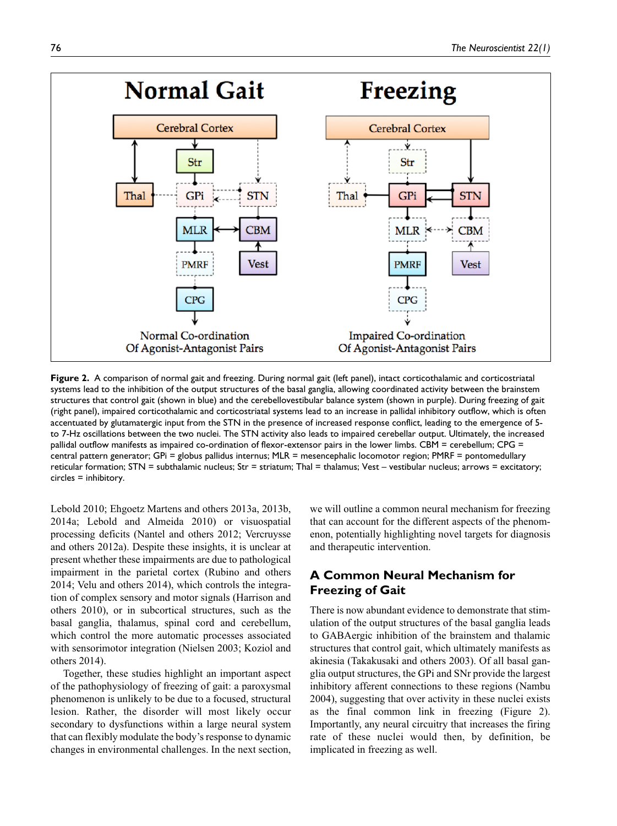

**Figure 2.** A comparison of normal gait and freezing. During normal gait (left panel), intact corticothalamic and corticostriatal systems lead to the inhibition of the output structures of the basal ganglia, allowing coordinated activity between the brainstem structures that control gait (shown in blue) and the cerebellovestibular balance system (shown in purple). During freezing of gait (right panel), impaired corticothalamic and corticostriatal systems lead to an increase in pallidal inhibitory outflow, which is often accentuated by glutamatergic input from the STN in the presence of increased response conflict, leading to the emergence of 5 to 7-Hz oscillations between the two nuclei. The STN activity also leads to impaired cerebellar output. Ultimately, the increased pallidal outflow manifests as impaired co-ordination of flexor-extensor pairs in the lower limbs. CBM = cerebellum; CPG = central pattern generator; GPi = globus pallidus internus; MLR = mesencephalic locomotor region; PMRF = pontomedullary reticular formation;  $STN =$  subthalamic nucleus;  $Str =$  striatum; Thal = thalamus; Vest – vestibular nucleus; arrows = excitatory; circles = inhibitory.

Lebold 2010; Ehgoetz Martens and others 2013a, 2013b, 2014a; Lebold and Almeida 2010) or visuospatial processing deficits (Nantel and others 2012; Vercruysse and others 2012a). Despite these insights, it is unclear at present whether these impairments are due to pathological impairment in the parietal cortex (Rubino and others 2014; Velu and others 2014), which controls the integration of complex sensory and motor signals (Harrison and others 2010), or in subcortical structures, such as the basal ganglia, thalamus, spinal cord and cerebellum, which control the more automatic processes associated with sensorimotor integration (Nielsen 2003; Koziol and others 2014).

Together, these studies highlight an important aspect of the pathophysiology of freezing of gait: a paroxysmal phenomenon is unlikely to be due to a focused, structural lesion. Rather, the disorder will most likely occur secondary to dysfunctions within a large neural system that can flexibly modulate the body's response to dynamic changes in environmental challenges. In the next section, we will outline a common neural mechanism for freezing that can account for the different aspects of the phenomenon, potentially highlighting novel targets for diagnosis and therapeutic intervention.

# **A Common Neural Mechanism for Freezing of Gait**

There is now abundant evidence to demonstrate that stimulation of the output structures of the basal ganglia leads to GABAergic inhibition of the brainstem and thalamic structures that control gait, which ultimately manifests as akinesia (Takakusaki and others 2003). Of all basal ganglia output structures, the GPi and SNr provide the largest inhibitory afferent connections to these regions (Nambu 2004), suggesting that over activity in these nuclei exists as the final common link in freezing (Figure 2). Importantly, any neural circuitry that increases the firing rate of these nuclei would then, by definition, be implicated in freezing as well.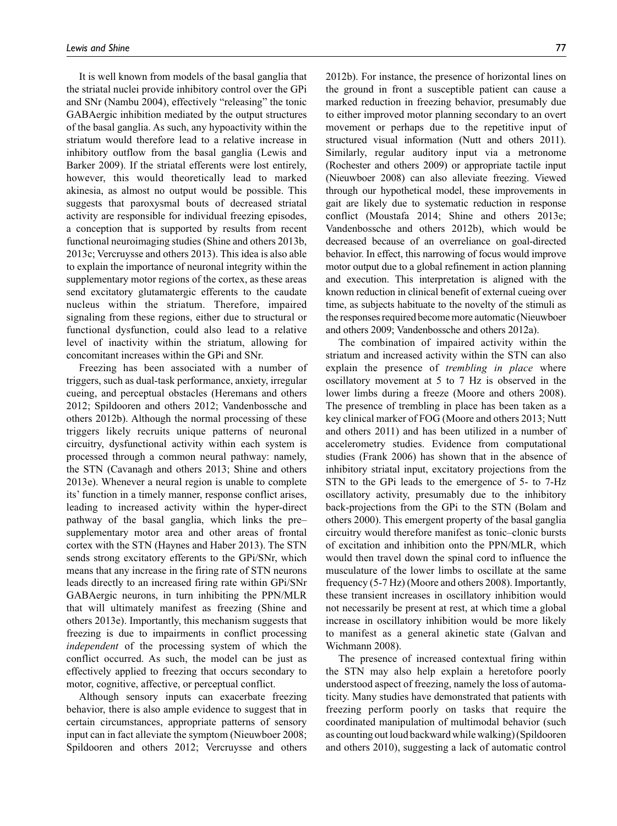It is well known from models of the basal ganglia that the striatal nuclei provide inhibitory control over the GPi and SNr (Nambu 2004), effectively "releasing" the tonic GABAergic inhibition mediated by the output structures of the basal ganglia. As such, any hypoactivity within the striatum would therefore lead to a relative increase in inhibitory outflow from the basal ganglia (Lewis and Barker 2009). If the striatal efferents were lost entirely, however, this would theoretically lead to marked akinesia, as almost no output would be possible. This suggests that paroxysmal bouts of decreased striatal activity are responsible for individual freezing episodes, a conception that is supported by results from recent functional neuroimaging studies (Shine and others 2013b, 2013c; Vercruysse and others 2013). This idea is also able to explain the importance of neuronal integrity within the supplementary motor regions of the cortex, as these areas send excitatory glutamatergic efferents to the caudate nucleus within the striatum. Therefore, impaired signaling from these regions, either due to structural or functional dysfunction, could also lead to a relative level of inactivity within the striatum, allowing for concomitant increases within the GPi and SNr.

Freezing has been associated with a number of triggers, such as dual-task performance, anxiety, irregular cueing, and perceptual obstacles (Heremans and others 2012; Spildooren and others 2012; Vandenbossche and others 2012b). Although the normal processing of these triggers likely recruits unique patterns of neuronal circuitry, dysfunctional activity within each system is processed through a common neural pathway: namely, the STN (Cavanagh and others 2013; Shine and others 2013e). Whenever a neural region is unable to complete its' function in a timely manner, response conflict arises, leading to increased activity within the hyper-direct pathway of the basal ganglia, which links the pre– supplementary motor area and other areas of frontal cortex with the STN (Haynes and Haber 2013). The STN sends strong excitatory efferents to the GPi/SNr, which means that any increase in the firing rate of STN neurons leads directly to an increased firing rate within GPi/SNr GABAergic neurons, in turn inhibiting the PPN/MLR that will ultimately manifest as freezing (Shine and others 2013e). Importantly, this mechanism suggests that freezing is due to impairments in conflict processing *independent* of the processing system of which the conflict occurred. As such, the model can be just as effectively applied to freezing that occurs secondary to motor, cognitive, affective, or perceptual conflict.

Although sensory inputs can exacerbate freezing behavior, there is also ample evidence to suggest that in certain circumstances, appropriate patterns of sensory input can in fact alleviate the symptom (Nieuwboer 2008; Spildooren and others 2012; Vercruysse and others

2012b). For instance, the presence of horizontal lines on the ground in front a susceptible patient can cause a marked reduction in freezing behavior, presumably due to either improved motor planning secondary to an overt movement or perhaps due to the repetitive input of structured visual information (Nutt and others 2011). Similarly, regular auditory input via a metronome (Rochester and others 2009) or appropriate tactile input (Nieuwboer 2008) can also alleviate freezing. Viewed through our hypothetical model, these improvements in gait are likely due to systematic reduction in response conflict (Moustafa 2014; Shine and others 2013e; Vandenbossche and others 2012b), which would be decreased because of an overreliance on goal-directed behavior. In effect, this narrowing of focus would improve motor output due to a global refinement in action planning and execution. This interpretation is aligned with the known reduction in clinical benefit of external cueing over time, as subjects habituate to the novelty of the stimuli as the responses required become more automatic (Nieuwboer and others 2009; Vandenbossche and others 2012a).

The combination of impaired activity within the striatum and increased activity within the STN can also explain the presence of *trembling in place* where oscillatory movement at 5 to 7 Hz is observed in the lower limbs during a freeze (Moore and others 2008). The presence of trembling in place has been taken as a key clinical marker of FOG (Moore and others 2013; Nutt and others 2011) and has been utilized in a number of accelerometry studies. Evidence from computational studies (Frank 2006) has shown that in the absence of inhibitory striatal input, excitatory projections from the STN to the GPi leads to the emergence of 5- to 7-Hz oscillatory activity, presumably due to the inhibitory back-projections from the GPi to the STN (Bolam and others 2000). This emergent property of the basal ganglia circuitry would therefore manifest as tonic–clonic bursts of excitation and inhibition onto the PPN/MLR, which would then travel down the spinal cord to influence the musculature of the lower limbs to oscillate at the same frequency (5-7 Hz) (Moore and others 2008). Importantly, these transient increases in oscillatory inhibition would not necessarily be present at rest, at which time a global increase in oscillatory inhibition would be more likely to manifest as a general akinetic state (Galvan and Wichmann 2008).

The presence of increased contextual firing within the STN may also help explain a heretofore poorly understood aspect of freezing, namely the loss of automaticity. Many studies have demonstrated that patients with freezing perform poorly on tasks that require the coordinated manipulation of multimodal behavior (such as counting out loud backward while walking) (Spildooren and others 2010), suggesting a lack of automatic control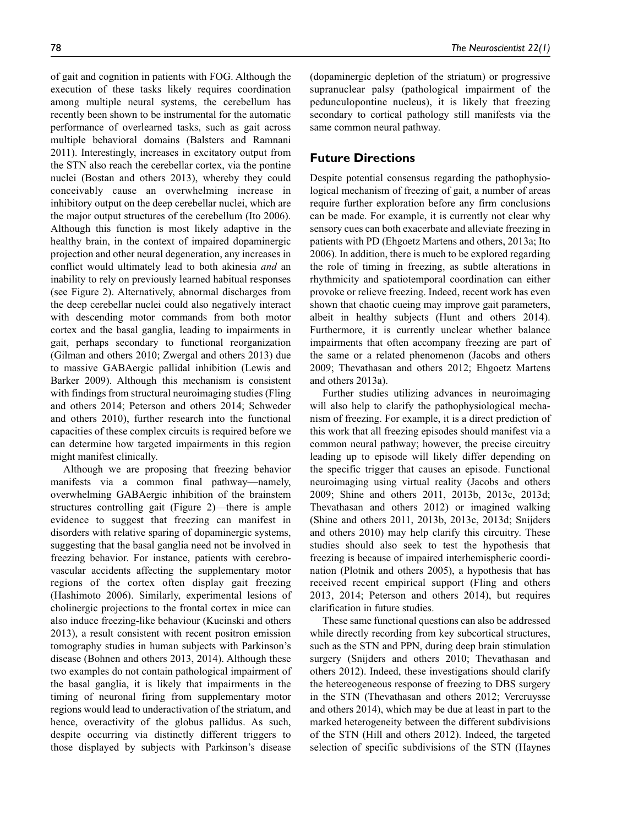of gait and cognition in patients with FOG. Although the execution of these tasks likely requires coordination among multiple neural systems, the cerebellum has recently been shown to be instrumental for the automatic performance of overlearned tasks, such as gait across multiple behavioral domains (Balsters and Ramnani 2011). Interestingly, increases in excitatory output from the STN also reach the cerebellar cortex, via the pontine nuclei (Bostan and others 2013), whereby they could conceivably cause an overwhelming increase in inhibitory output on the deep cerebellar nuclei, which are the major output structures of the cerebellum (Ito 2006). Although this function is most likely adaptive in the healthy brain, in the context of impaired dopaminergic projection and other neural degeneration, any increases in conflict would ultimately lead to both akinesia *and* an inability to rely on previously learned habitual responses (see Figure 2). Alternatively, abnormal discharges from the deep cerebellar nuclei could also negatively interact with descending motor commands from both motor cortex and the basal ganglia, leading to impairments in gait, perhaps secondary to functional reorganization (Gilman and others 2010; Zwergal and others 2013) due to massive GABAergic pallidal inhibition (Lewis and Barker 2009). Although this mechanism is consistent with findings from structural neuroimaging studies (Fling and others 2014; Peterson and others 2014; Schweder and others 2010), further research into the functional capacities of these complex circuits is required before we can determine how targeted impairments in this region might manifest clinically.

Although we are proposing that freezing behavior manifests via a common final pathway—namely, overwhelming GABAergic inhibition of the brainstem structures controlling gait (Figure 2)—there is ample evidence to suggest that freezing can manifest in disorders with relative sparing of dopaminergic systems, suggesting that the basal ganglia need not be involved in freezing behavior. For instance, patients with cerebrovascular accidents affecting the supplementary motor regions of the cortex often display gait freezing (Hashimoto 2006). Similarly, experimental lesions of cholinergic projections to the frontal cortex in mice can also induce freezing-like behaviour (Kucinski and others 2013), a result consistent with recent positron emission tomography studies in human subjects with Parkinson's disease (Bohnen and others 2013, 2014). Although these two examples do not contain pathological impairment of the basal ganglia, it is likely that impairments in the timing of neuronal firing from supplementary motor regions would lead to underactivation of the striatum, and hence, overactivity of the globus pallidus. As such, despite occurring via distinctly different triggers to those displayed by subjects with Parkinson's disease (dopaminergic depletion of the striatum) or progressive supranuclear palsy (pathological impairment of the pedunculopontine nucleus), it is likely that freezing secondary to cortical pathology still manifests via the same common neural pathway.

# **Future Directions**

Despite potential consensus regarding the pathophysiological mechanism of freezing of gait, a number of areas require further exploration before any firm conclusions can be made. For example, it is currently not clear why sensory cues can both exacerbate and alleviate freezing in patients with PD (Ehgoetz Martens and others, 2013a; Ito 2006). In addition, there is much to be explored regarding the role of timing in freezing, as subtle alterations in rhythmicity and spatiotemporal coordination can either provoke or relieve freezing. Indeed, recent work has even shown that chaotic cueing may improve gait parameters, albeit in healthy subjects (Hunt and others 2014). Furthermore, it is currently unclear whether balance impairments that often accompany freezing are part of the same or a related phenomenon (Jacobs and others 2009; Thevathasan and others 2012; Ehgoetz Martens and others 2013a).

Further studies utilizing advances in neuroimaging will also help to clarify the pathophysiological mechanism of freezing. For example, it is a direct prediction of this work that all freezing episodes should manifest via a common neural pathway; however, the precise circuitry leading up to episode will likely differ depending on the specific trigger that causes an episode. Functional neuroimaging using virtual reality (Jacobs and others 2009; Shine and others 2011, 2013b, 2013c, 2013d; Thevathasan and others 2012) or imagined walking (Shine and others 2011, 2013b, 2013c, 2013d; Snijders and others 2010) may help clarify this circuitry. These studies should also seek to test the hypothesis that freezing is because of impaired interhemispheric coordination (Plotnik and others 2005), a hypothesis that has received recent empirical support (Fling and others 2013, 2014; Peterson and others 2014), but requires clarification in future studies.

These same functional questions can also be addressed while directly recording from key subcortical structures, such as the STN and PPN, during deep brain stimulation surgery (Snijders and others 2010; Thevathasan and others 2012). Indeed, these investigations should clarify the hetereogeneous response of freezing to DBS surgery in the STN (Thevathasan and others 2012; Vercruysse and others 2014), which may be due at least in part to the marked heterogeneity between the different subdivisions of the STN (Hill and others 2012). Indeed, the targeted selection of specific subdivisions of the STN (Haynes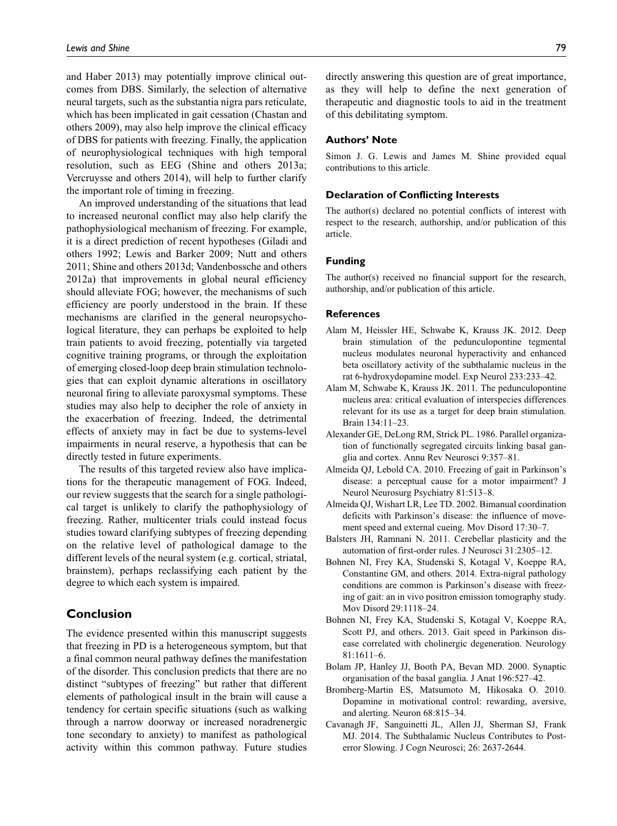and Haber 2013) may potentially improve clinical outcomes from DBS. Similarly, the selection of alternative neural targets, such as the substantia nigra pars reticulate, which has been implicated in gait cessation (Chastan and others 2009), may also help improve the clinical efficacy of DBS for patients with freezing. Finally, the application of neurophysiological techniques with high temporal resolution, such as EEG (Shine and others 2013a; Vercruysse and others 2014), will help to further clarify the important role of timing in freezing.

An improved understanding of the situations that lead to increased neuronal conflict may also help clarify the pathophysiological mechanism of freezing. For example, it is a direct prediction of recent hypotheses (Giladi and others 1992; Lewis and Barker 2009; Nutt and others 2011; Shine and others 2013d; Vandenbossche and others 2012a) that improvements in global neural efficiency should alleviate FOG; however, the mechanisms of such efficiency are poorly understood in the brain. If these mechanisms are clarified in the general neuropsychological literature, they can perhaps be exploited to help train patients to avoid freezing, potentially via targeted cognitive training programs, or through the exploitation of emerging closed-loop deep brain stimulation technologies that can exploit dynamic alterations in oscillatory neuronal firing to alleviate paroxysmal symptoms. These studies may also help to decipher the role of anxiety in the exacerbation of freezing. Indeed, the detrimental effects of anxiety may in fact be due to systems-level impairments in neural reserve, a hypothesis that can be directly tested in future experiments.

The results of this targeted review also have implications for the therapeutic management of FOG. Indeed, our review suggests that the search for a single pathological target is unlikely to clarify the pathophysiology of freezing. Rather, multicenter trials could instead focus studies toward clarifying subtypes of freezing depending on the relative level of pathological damage to the different levels of the neural system (e.g. cortical, striatal, brainstem), perhaps reclassifying each patient by the degree to which each system is impaired.

#### **Conclusion**

The evidence presented within this manuscript suggests that freezing in PD is a heterogeneous symptom, but that a final common neural pathway defines the manifestation of the disorder. This conclusion predicts that there are no distinct "subtypes of freezing" but rather that different elements of pathological insult in the brain will cause a tendency for certain specific situations (such as walking through a narrow doorway or increased noradrenergic tone secondary to anxiety) to manifest as pathological activity within this common pathway. Future studies directly answering this question are of great importance, as they will help to define the next generation of therapeutic and diagnostic tools to aid in the treatment of this debilitating symptom.

#### **Authors' Note**

Simon J. G. Lewis and James M. Shine provided equal contributions to this article.

#### **Declaration of Conflicting Interests**

The author(s) declared no potential conflicts of interest with respect to the research, authorship, and/or publication of this article.

# **Funding**

The author(s) received no financial support for the research, authorship, and/or publication of this article.

#### **References**

- Alam M, Heissler HE, Schwabe K, Krauss JK. 2012. Deep brain stimulation of the pedunculopontine tegmental nucleus modulates neuronal hyperactivity and enhanced beta oscillatory activity of the subthalamic nucleus in the rat 6-hydroxydopamine model. Exp Neurol 233:233–42.
- Alam M, Schwabe K, Krauss JK. 2011. The pedunculopontine nucleus area: critical evaluation of interspecies differences relevant for its use as a target for deep brain stimulation. Brain 134:11–23.
- Alexander GE, DeLong RM, Strick PL. 1986. Parallel organization of functionally segregated circuits linking basal ganglia and cortex. Annu Rev Neurosci 9:357–81.
- Almeida QJ, Lebold CA. 2010. Freezing of gait in Parkinson's disease: a perceptual cause for a motor impairment? J Neurol Neurosurg Psychiatry 81:513–8.
- Almeida QJ, Wishart LR, Lee TD. 2002. Bimanual coordination deficits with Parkinson's disease: the influence of movement speed and external cueing. Mov Disord 17:30–7.
- Balsters JH, Ramnani N. 2011. Cerebellar plasticity and the automation of first-order rules. J Neurosci 31:2305–12.
- Bohnen NI, Frey KA, Studenski S, Kotagal V, Koeppe RA, Constantine GM, and others. 2014. Extra-nigral pathology conditions are common is Parkinson's disease with freezing of gait: an in vivo positron emission tomography study. Mov Disord 29:1118–24.
- Bohnen NI, Frey KA, Studenski S, Kotagal V, Koeppe RA, Scott PJ, and others. 2013. Gait speed in Parkinson disease correlated with cholinergic degeneration. Neurology 81:1611–6.
- Bolam JP, Hanley JJ, Booth PA, Bevan MD. 2000. Synaptic organisation of the basal ganglia. J Anat 196:527–42.
- Bromberg-Martin ES, Matsumoto M, Hikosaka O. 2010. Dopamine in motivational control: rewarding, aversive, and alerting. Neuron 68:815–34.
- Cavanagh JF, Sanguinetti JL, Allen JJ, Sherman SJ, Frank MJ. 2014. The Subthalamic Nucleus Contributes to Posterror Slowing. J Cogn Neurosci; 26: 2637-2644.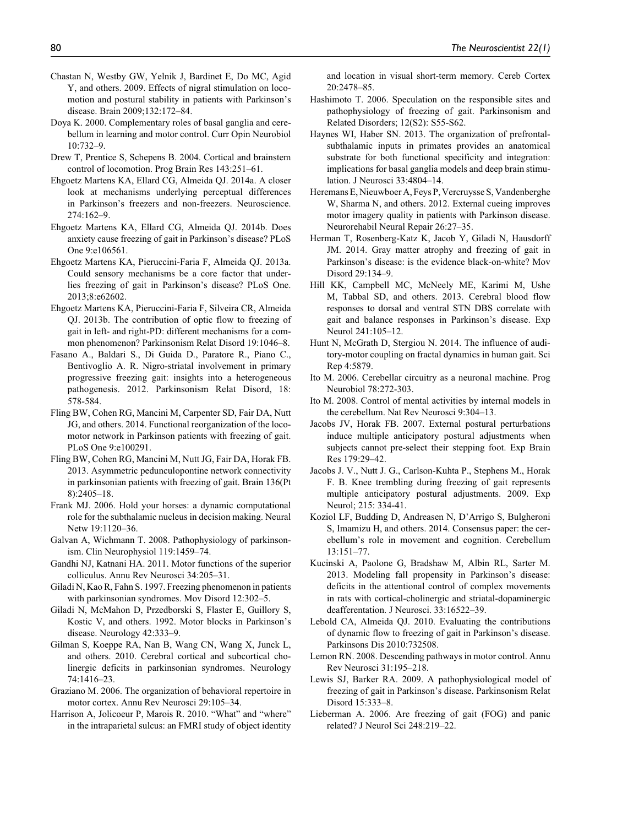- Chastan N, Westby GW, Yelnik J, Bardinet E, Do MC, Agid Y, and others. 2009. Effects of nigral stimulation on locomotion and postural stability in patients with Parkinson's disease. Brain 2009;132:172–84.
- Doya K. 2000. Complementary roles of basal ganglia and cerebellum in learning and motor control. Curr Opin Neurobiol 10:732–9.
- Drew T, Prentice S, Schepens B. 2004. Cortical and brainstem control of locomotion. Prog Brain Res 143:251–61.
- Ehgoetz Martens KA, Ellard CG, Almeida QJ. 2014a. A closer look at mechanisms underlying perceptual differences in Parkinson's freezers and non-freezers. Neuroscience. 274:162–9.
- Ehgoetz Martens KA, Ellard CG, Almeida QJ. 2014b. Does anxiety cause freezing of gait in Parkinson's disease? PLoS One 9:e106561.
- Ehgoetz Martens KA, Pieruccini-Faria F, Almeida QJ. 2013a. Could sensory mechanisms be a core factor that underlies freezing of gait in Parkinson's disease? PLoS One. 2013;8:e62602.
- Ehgoetz Martens KA, Pieruccini-Faria F, Silveira CR, Almeida QJ. 2013b. The contribution of optic flow to freezing of gait in left- and right-PD: different mechanisms for a common phenomenon? Parkinsonism Relat Disord 19:1046–8.
- Fasano A., Baldari S., Di Guida D., Paratore R., Piano C., Bentivoglio A. R. Nigro-striatal involvement in primary progressive freezing gait: insights into a heterogeneous pathogenesis. 2012. Parkinsonism Relat Disord, 18: 578-584.
- Fling BW, Cohen RG, Mancini M, Carpenter SD, Fair DA, Nutt JG, and others. 2014. Functional reorganization of the locomotor network in Parkinson patients with freezing of gait. PLoS One 9:e100291.
- Fling BW, Cohen RG, Mancini M, Nutt JG, Fair DA, Horak FB. 2013. Asymmetric pedunculopontine network connectivity in parkinsonian patients with freezing of gait. Brain 136(Pt 8):2405–18.
- Frank MJ. 2006. Hold your horses: a dynamic computational role for the subthalamic nucleus in decision making. Neural Netw 19:1120–36.
- Galvan A, Wichmann T. 2008. Pathophysiology of parkinsonism. Clin Neurophysiol 119:1459–74.
- Gandhi NJ, Katnani HA. 2011. Motor functions of the superior colliculus. Annu Rev Neurosci 34:205–31.
- Giladi N, Kao R, Fahn S. 1997. Freezing phenomenon in patients with parkinsonian syndromes. Mov Disord 12:302–5.
- Giladi N, McMahon D, Przedborski S, Flaster E, Guillory S, Kostic V, and others. 1992. Motor blocks in Parkinson's disease. Neurology 42:333–9.
- Gilman S, Koeppe RA, Nan B, Wang CN, Wang X, Junck L, and others. 2010. Cerebral cortical and subcortical cholinergic deficits in parkinsonian syndromes. Neurology 74:1416–23.
- Graziano M. 2006. The organization of behavioral repertoire in motor cortex. Annu Rev Neurosci 29:105–34.
- Harrison A, Jolicoeur P, Marois R. 2010. "What" and "where" in the intraparietal sulcus: an FMRI study of object identity

and location in visual short-term memory. Cereb Cortex 20:2478–85.

- Hashimoto T. 2006. Speculation on the responsible sites and pathophysiology of freezing of gait. Parkinsonism and Related Disorders; 12(S2): S55-S62.
- Haynes WI, Haber SN. 2013. The organization of prefrontalsubthalamic inputs in primates provides an anatomical substrate for both functional specificity and integration: implications for basal ganglia models and deep brain stimulation. J Neurosci 33:4804–14.
- Heremans E, Nieuwboer A, Feys P, Vercruysse S, Vandenberghe W, Sharma N, and others. 2012. External cueing improves motor imagery quality in patients with Parkinson disease. Neurorehabil Neural Repair 26:27–35.
- Herman T, Rosenberg-Katz K, Jacob Y, Giladi N, Hausdorff JM. 2014. Gray matter atrophy and freezing of gait in Parkinson's disease: is the evidence black-on-white? Mov Disord 29:134–9.
- Hill KK, Campbell MC, McNeely ME, Karimi M, Ushe M, Tabbal SD, and others. 2013. Cerebral blood flow responses to dorsal and ventral STN DBS correlate with gait and balance responses in Parkinson's disease. Exp Neurol 241:105–12.
- Hunt N, McGrath D, Stergiou N. 2014. The influence of auditory-motor coupling on fractal dynamics in human gait. Sci Rep 4:5879.
- Ito M. 2006. Cerebellar circuitry as a neuronal machine. Prog Neurobiol 78:272-303.
- Ito M. 2008. Control of mental activities by internal models in the cerebellum. Nat Rev Neurosci 9:304–13.
- Jacobs JV, Horak FB. 2007. External postural perturbations induce multiple anticipatory postural adjustments when subjects cannot pre-select their stepping foot. Exp Brain Res 179:29–42.
- Jacobs J. V., Nutt J. G., Carlson-Kuhta P., Stephens M., Horak F. B. Knee trembling during freezing of gait represents multiple anticipatory postural adjustments. 2009. Exp Neurol; 215: 334-41.
- Koziol LF, Budding D, Andreasen N, D'Arrigo S, Bulgheroni S, Imamizu H, and others. 2014. Consensus paper: the cerebellum's role in movement and cognition. Cerebellum 13:151–77.
- Kucinski A, Paolone G, Bradshaw M, Albin RL, Sarter M. 2013. Modeling fall propensity in Parkinson's disease: deficits in the attentional control of complex movements in rats with cortical-cholinergic and striatal-dopaminergic deafferentation. J Neurosci. 33:16522–39.
- Lebold CA, Almeida QJ. 2010. Evaluating the contributions of dynamic flow to freezing of gait in Parkinson's disease. Parkinsons Dis 2010:732508.
- Lemon RN. 2008. Descending pathways in motor control. Annu Rev Neurosci 31:195–218.
- Lewis SJ, Barker RA. 2009. A pathophysiological model of freezing of gait in Parkinson's disease. Parkinsonism Relat Disord 15:333–8.
- Lieberman A. 2006. Are freezing of gait (FOG) and panic related? J Neurol Sci 248:219–22.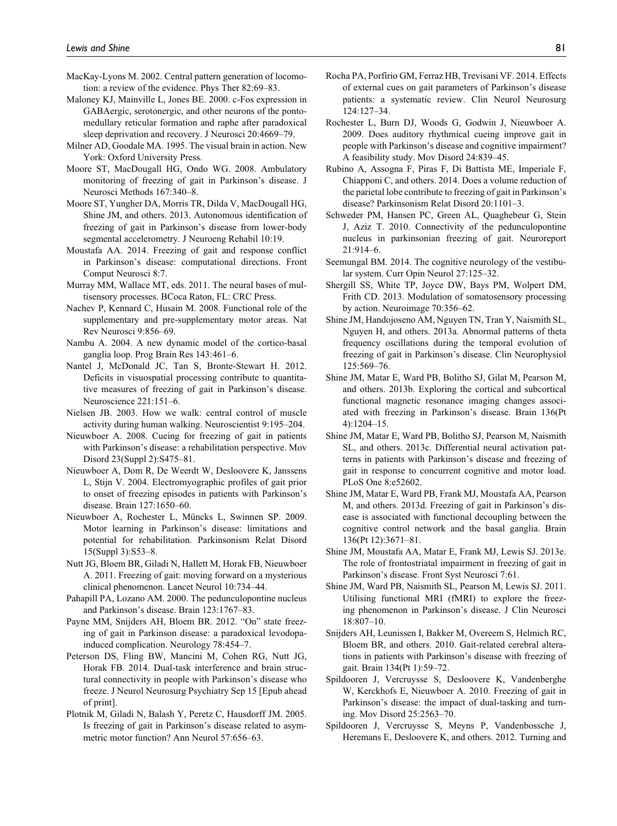- MacKay-Lyons M. 2002. Central pattern generation of locomotion: a review of the evidence. Phys Ther 82:69–83.
- Maloney KJ, Mainville L, Jones BE. 2000. c-Fos expression in GABAergic, serotonergic, and other neurons of the pontomedullary reticular formation and raphe after paradoxical sleep deprivation and recovery. J Neurosci 20:4669–79.
- Milner AD, Goodale MA. 1995. The visual brain in action. New York: Oxford University Press.
- Moore ST, MacDougall HG, Ondo WG. 2008. Ambulatory monitoring of freezing of gait in Parkinson's disease. J Neurosci Methods 167:340–8.
- Moore ST, Yungher DA, Morris TR, Dilda V, MacDougall HG, Shine JM, and others. 2013. Autonomous identification of freezing of gait in Parkinson's disease from lower-body segmental accelerometry. J Neuroeng Rehabil 10:19.
- Moustafa AA. 2014. Freezing of gait and response conflict in Parkinson's disease: computational directions. Front Comput Neurosci 8:7.
- Murray MM, Wallace MT, eds. 2011. The neural bases of multisensory processes. BCoca Raton, FL: CRC Press.
- Nachev P, Kennard C, Husain M. 2008. Functional role of the supplementary and pre-supplementary motor areas. Nat Rev Neurosci 9:856–69.
- Nambu A. 2004. A new dynamic model of the cortico-basal ganglia loop. Prog Brain Res 143:461–6.
- Nantel J, McDonald JC, Tan S, Bronte-Stewart H. 2012. Deficits in visuospatial processing contribute to quantitative measures of freezing of gait in Parkinson's disease. Neuroscience 221:151–6.
- Nielsen JB. 2003. How we walk: central control of muscle activity during human walking. Neuroscientist 9:195–204.
- Nieuwboer A. 2008. Cueing for freezing of gait in patients with Parkinson's disease: a rehabilitation perspective. Mov Disord 23(Suppl 2):S475–81.
- Nieuwboer A, Dom R, De Weerdt W, Desloovere K, Janssens L, Stijn V. 2004. Electromyographic profiles of gait prior to onset of freezing episodes in patients with Parkinson's disease. Brain 127:1650–60.
- Nieuwboer A, Rochester L, Müncks L, Swinnen SP. 2009. Motor learning in Parkinson's disease: limitations and potential for rehabilitation. Parkinsonism Relat Disord 15(Suppl 3):S53–8.
- Nutt JG, Bloem BR, Giladi N, Hallett M, Horak FB, Nieuwboer A. 2011. Freezing of gait: moving forward on a mysterious clinical phenomenon. Lancet Neurol 10:734–44.
- Pahapill PA, Lozano AM. 2000. The pedunculopontine nucleus and Parkinson's disease. Brain 123:1767–83.
- Payne MM, Snijders AH, Bloem BR. 2012. "On" state freezing of gait in Parkinson disease: a paradoxical levodopainduced complication. Neurology 78:454–7.
- Peterson DS, Fling BW, Mancini M, Cohen RG, Nutt JG, Horak FB. 2014. Dual-task interference and brain structural connectivity in people with Parkinson's disease who freeze. J Neurol Neurosurg Psychiatry Sep 15 [Epub ahead of print].
- Plotnik M, Giladi N, Balash Y, Peretz C, Hausdorff JM. 2005. Is freezing of gait in Parkinson's disease related to asymmetric motor function? Ann Neurol 57:656–63.
- Rocha PA, Porfírio GM, Ferraz HB, Trevisani VF. 2014. Effects of external cues on gait parameters of Parkinson's disease patients: a systematic review. Clin Neurol Neurosurg 124:127–34.
- Rochester L, Burn DJ, Woods G, Godwin J, Nieuwboer A. 2009. Does auditory rhythmical cueing improve gait in people with Parkinson's disease and cognitive impairment? A feasibility study. Mov Disord 24:839–45.
- Rubino A, Assogna F, Piras F, Di Battista ME, Imperiale F, Chiapponi C, and others. 2014. Does a volume reduction of the parietal lobe contribute to freezing of gait in Parkinson's disease? Parkinsonism Relat Disord 20:1101–3.
- Schweder PM, Hansen PC, Green AL, Quaghebeur G, Stein J, Aziz T. 2010. Connectivity of the pedunculopontine nucleus in parkinsonian freezing of gait. Neuroreport 21:914–6.
- Seemungal BM. 2014. The cognitive neurology of the vestibular system. Curr Opin Neurol 27:125–32.
- Shergill SS, White TP, Joyce DW, Bays PM, Wolpert DM, Frith CD. 2013. Modulation of somatosensory processing by action. Neuroimage 70:356–62.
- Shine JM, Handojoseno AM, Nguyen TN, Tran Y, Naismith SL, Nguyen H, and others. 2013a. Abnormal patterns of theta frequency oscillations during the temporal evolution of freezing of gait in Parkinson's disease. Clin Neurophysiol 125:569–76.
- Shine JM, Matar E, Ward PB, Bolitho SJ, Gilat M, Pearson M, and others. 2013b. Exploring the cortical and subcortical functional magnetic resonance imaging changes associated with freezing in Parkinson's disease. Brain 136(Pt 4):1204–15.
- Shine JM, Matar E, Ward PB, Bolitho SJ, Pearson M, Naismith SL, and others. 2013c. Differential neural activation patterns in patients with Parkinson's disease and freezing of gait in response to concurrent cognitive and motor load. PLoS One 8:e52602.
- Shine JM, Matar E, Ward PB, Frank MJ, Moustafa AA, Pearson M, and others. 2013d. Freezing of gait in Parkinson's disease is associated with functional decoupling between the cognitive control network and the basal ganglia. Brain 136(Pt 12):3671–81.
- Shine JM, Moustafa AA, Matar E, Frank MJ, Lewis SJ. 2013e. The role of frontostriatal impairment in freezing of gait in Parkinson's disease. Front Syst Neurosci 7:61.
- Shine JM, Ward PB, Naismith SL, Pearson M, Lewis SJ. 2011. Utilising functional MRI (fMRI) to explore the freezing phenomenon in Parkinson's disease. J Clin Neurosci 18:807–10.
- Snijders AH, Leunissen I, Bakker M, Overeem S, Helmich RC, Bloem BR, and others. 2010. Gait-related cerebral alterations in patients with Parkinson's disease with freezing of gait. Brain 134(Pt 1):59–72.
- Spildooren J, Vercruysse S, Desloovere K, Vandenberghe W, Kerckhofs E, Nieuwboer A. 2010. Freezing of gait in Parkinson's disease: the impact of dual-tasking and turning. Mov Disord 25:2563–70.
- Spildooren J, Vercruysse S, Meyns P, Vandenbossche J, Heremans E, Desloovere K, and others. 2012. Turning and